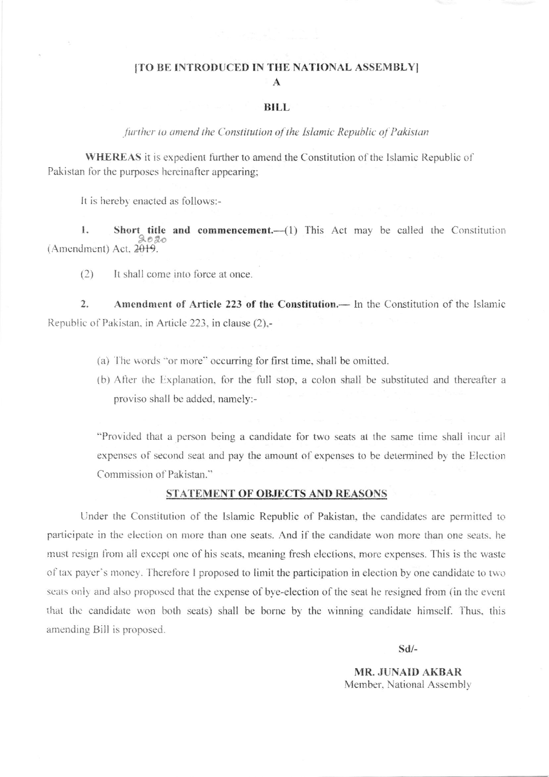### [TO BE INTRODUCED IN THE NATIONAL ASSEMBLY]  $\mathbf{A}$

#### BILL.

further to amend the Constitution of the Islamic Republic of Pakistan

WHEREAS it is expedient further to amend the Constitution of the Islamic Republic of Pakistan for the purposes hereinafter appearing;

It is hereby enacted as follows:-

 $\mathbf{I}$ . Short title and commencement.- (1) This Act may be called the Constitution  $2020$ (Amendment) Act, 2019.

 $(2)$ It shall come into force at once.

 $\overline{2}$ . Amendment of Article 223 of the Constitution. - In the Constitution of the Islamic Republic of Pakistan, in Article 223, in clause (2),-

- (a) The words "or more" occurring for first time, shall be omitted.
- (b) After the Explanation, for the full stop, a colon shall be substituted and thereafter a proviso shall be added, namely:-

"Provided that a person being a candidate for two seats at the same time shall incur all expenses of second seat and pay the amount of expenses to be determined by the Election Commission of Pakistan."

#### STATEMENT OF OBJECTS AND REASONS

Under the Constitution of the Islamic Republic of Pakistan, the candidates are permitted to participate in the election on more than one seats. And if the candidate won more than one seats, he must resign from all except one of his seats, meaning fresh elections, more expenses. This is the waste of tax payer's money. Therefore I proposed to limit the participation in election by one candidate to two seats only and also proposed that the expense of bye-election of the seat he resigned from (in the event that the candidate won both seats) shall be borne by the winning candidate himself. Thus, this amending Bill is proposed.

 $Sd/-$ 

**MR. JUNAID AKBAR** Member, National Assembly